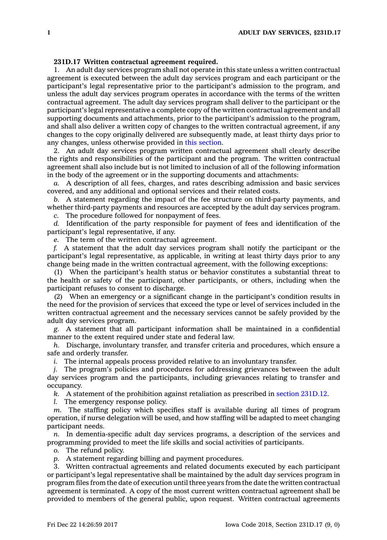## **231D.17 Written contractual agreement required.**

1. An adult day services program shall not operate in this state unless <sup>a</sup> written contractual agreement is executed between the adult day services program and each participant or the participant's legal representative prior to the participant's admission to the program, and unless the adult day services program operates in accordance with the terms of the written contractual agreement. The adult day services program shall deliver to the participant or the participant's legal representative <sup>a</sup> complete copy of the written contractual agreement and all supporting documents and attachments, prior to the participant's admission to the program, and shall also deliver <sup>a</sup> written copy of changes to the written contractual agreement, if any changes to the copy originally delivered are subsequently made, at least thirty days prior to any changes, unless otherwise provided in this [section](https://www.legis.iowa.gov/docs/code/231D.17.pdf).

2. An adult day services program written contractual agreement shall clearly describe the rights and responsibilities of the participant and the program. The written contractual agreement shall also include but is not limited to inclusion of all of the following information in the body of the agreement or in the supporting documents and attachments:

*a.* A description of all fees, charges, and rates describing admission and basic services covered, and any additional and optional services and their related costs.

*b.* A statement regarding the impact of the fee structure on third-party payments, and whether third-party payments and resources are accepted by the adult day services program.

*c.* The procedure followed for nonpayment of fees.

*d.* Identification of the party responsible for payment of fees and identification of the participant's legal representative, if any.

*e.* The term of the written contractual agreement.

*f.* A statement that the adult day services program shall notify the participant or the participant's legal representative, as applicable, in writing at least thirty days prior to any change being made in the written contractual agreement, with the following exceptions:

(1) When the participant's health status or behavior constitutes <sup>a</sup> substantial threat to the health or safety of the participant, other participants, or others, including when the participant refuses to consent to discharge.

(2) When an emergency or <sup>a</sup> significant change in the participant's condition results in the need for the provision of services that exceed the type or level of services included in the written contractual agreement and the necessary services cannot be safely provided by the adult day services program.

*g.* A statement that all participant information shall be maintained in <sup>a</sup> confidential manner to the extent required under state and federal law.

*h.* Discharge, involuntary transfer, and transfer criteria and procedures, which ensure <sup>a</sup> safe and orderly transfer.

*i.* The internal appeals process provided relative to an involuntary transfer.

*j.* The program's policies and procedures for addressing grievances between the adult day services program and the participants, including grievances relating to transfer and occupancy.

*k.* A statement of the prohibition against retaliation as prescribed in section [231D.12](https://www.legis.iowa.gov/docs/code/231D.12.pdf).

*l.* The emergency response policy.

*m.* The staffing policy which specifies staff is available during all times of program operation, if nurse delegation will be used, and how staffing will be adapted to meet changing participant needs.

*n.* In dementia-specific adult day services programs, <sup>a</sup> description of the services and programming provided to meet the life skills and social activities of participants.

*o.* The refund policy.

*p.* A statement regarding billing and payment procedures.

3. Written contractual agreements and related documents executed by each participant or participant's legal representative shall be maintained by the adult day services program in program files from the date of execution until three years from the date the written contractual agreement is terminated. A copy of the most current written contractual agreement shall be provided to members of the general public, upon request. Written contractual agreements